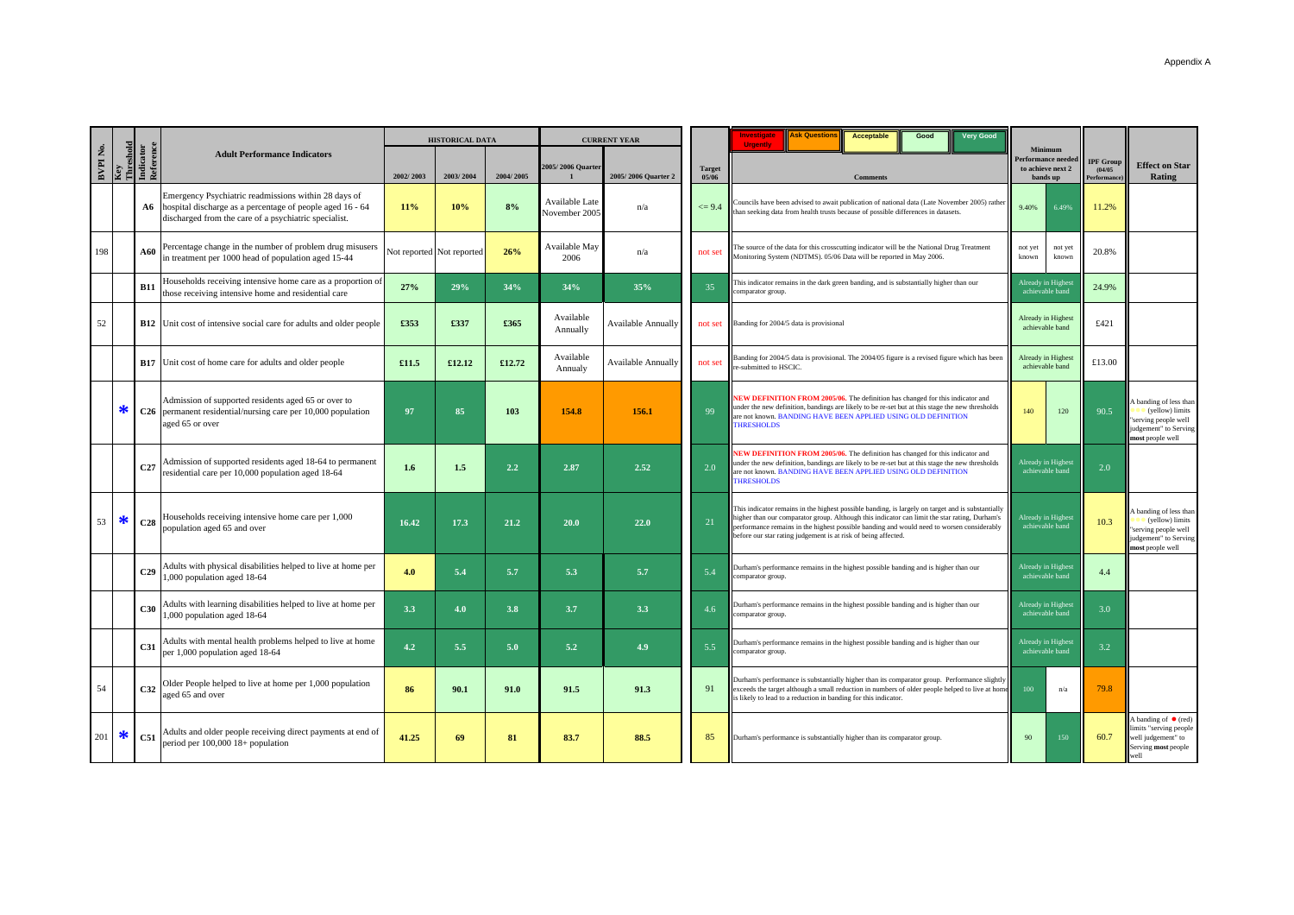|          |         |                                     |                                                                                                                                                                               |           | <b>HISTORICAL DATA</b>    |           |                                 | <b>CURRENT YEAR</b>       |                        | <b>Ask Question</b><br>nvestigate<br><b>Very Good</b><br><b>Acceptable</b><br>Good<br><b>Urgently</b>                                                                                                                                                                                                                                                             |                                       |                                                                       |                                           |                                                                                                                      |
|----------|---------|-------------------------------------|-------------------------------------------------------------------------------------------------------------------------------------------------------------------------------|-----------|---------------------------|-----------|---------------------------------|---------------------------|------------------------|-------------------------------------------------------------------------------------------------------------------------------------------------------------------------------------------------------------------------------------------------------------------------------------------------------------------------------------------------------------------|---------------------------------------|-----------------------------------------------------------------------|-------------------------------------------|----------------------------------------------------------------------------------------------------------------------|
| BVPI No. | Key     | Threshold<br>Indicator<br>Reference | <b>Adult Performance Indicators</b>                                                                                                                                           | 2002/2003 | 2003/2004                 | 2004/2005 | 2005/2006 Quarter               | 2005/2006 Quarter 2       | <b>Target</b><br>05/06 | <b>Comments</b>                                                                                                                                                                                                                                                                                                                                                   |                                       | Minimum<br><b>Performance needed</b><br>to achieve next 2<br>bands up | <b>IPF Group</b><br>(04/05)<br>erformance | <b>Effect on Star</b><br><b>Rating</b>                                                                               |
|          |         |                                     | Emergency Psychiatric readmissions within 28 days of<br>A6 hospital discharge as a percentage of people aged 16 - 64<br>discharged from the care of a psychiatric specialist. | 11%       | 10%                       | 8%        | Available Late<br>November 200: | n/a                       | $\leq$ 9.4             | Councils have been advised to await publication of national data (Late November 2005) rather<br>han seeking data from health trusts because of possible differences in datasets.                                                                                                                                                                                  | 9.40%                                 | 6.49%                                                                 | 11.2%                                     |                                                                                                                      |
| 198      |         | <b>A60</b>                          | Percentage change in the number of problem drug misusers<br>in treatment per 1000 head of population aged 15-44                                                               |           | Not reported Not reported | 26%       | Available May<br>2006           | n/a                       | not set                | The source of the data for this crosscutting indicator will be the National Drug Treatment<br>Monitoring System (NDTMS). 05/06 Data will be reported in May 2006.                                                                                                                                                                                                 | not yet<br>known                      | not yet<br>known                                                      | 20.8%                                     |                                                                                                                      |
|          |         | <b>B11</b>                          | Households receiving intensive home care as a proportion of<br>those receiving intensive home and residential care                                                            | 27%       | 29%                       | 34%       | 34%                             | 35%                       | 35 <sup>2</sup>        | This indicator remains in the dark green banding, and is substantially higher than our<br>comparator group.                                                                                                                                                                                                                                                       | Already in Highes                     | achievable band                                                       | 24.9%                                     |                                                                                                                      |
| 52       |         |                                     | <b>B12</b> Unit cost of intensive social care for adults and older people                                                                                                     | £353      | £337                      | £365      | Available<br>Annually           | <b>Available Annually</b> |                        | not set Banding for 2004/5 data is provisional                                                                                                                                                                                                                                                                                                                    |                                       | Already in Highest<br>achievable band                                 | £421                                      |                                                                                                                      |
|          |         |                                     | <b>B17</b> Unit cost of home care for adults and older people                                                                                                                 | £11.5     | £12.12                    | £12.72    | Available<br>Annualy            | <b>Available Annually</b> | not set                | Banding for 2004/5 data is provisional. The 2004/05 figure is a revised figure which has been<br>e-submitted to HSCIC.                                                                                                                                                                                                                                            |                                       | Already in Highest<br>achievable band                                 | £13.00                                    |                                                                                                                      |
|          | ∗       |                                     | Admission of supported residents aged 65 or over to<br>C26 permanent residential/nursing care per 10,000 population<br>aged 65 or over                                        | 97        | 85                        | 103       | 154.8                           | 156.1                     | 99                     | NEW DEFINITION FROM 2005/06. The definition has changed for this indicator and<br>under the new definition, bandings are likely to be re-set but at this stage the new thresholds<br>are not known. BANDING HAVE BEEN APPLIED USING OLD DEFINITION<br><b>THRESHOLDS</b>                                                                                           |                                       | 120                                                                   | 90.5                                      | banding of less than<br>$\bullet$ (yellow) limits<br>serving people well<br>udgement" to Serving<br>nost people well |
|          |         | C27                                 | Admission of supported residents aged 18-64 to permanent<br>residential care per 10,000 population aged 18-64                                                                 | 1.6       | 1.5                       | 2.2       | 2.87                            | 2.52                      | 2.0                    | NEW DEFINITION FROM 2005/06. The definition has changed for this indicator and<br>under the new definition, bandings are likely to be re-set but at this stage the new thresholds<br>are not known. BANDING HAVE BEEN APPLIED USING OLD DEFINITION<br><b>THRESHOLDS</b>                                                                                           | Already in Highest<br>achievable band |                                                                       | 2.0                                       |                                                                                                                      |
| 53       | ∗       | C28                                 | Households receiving intensive home care per 1,000<br>population aged 65 and over                                                                                             | 16.42     | 17.3                      | 21.2      | 20.0                            | 22.0                      | 21                     | This indicator remains in the highest possible banding, is largely on target and is substantially<br>higher than our comparator group. Although this indicator can limit the star rating, Durham's<br>performance remains in the highest possible banding and would need to worsen considerably<br>before our star rating judgement is at risk of being affected. | Already in Highest<br>achievable band |                                                                       | 10.3                                      | banding of less than<br>(yellow) limits<br>serving people well<br>udgement" to Serving<br>nost people well           |
|          |         | C29                                 | Adults with physical disabilities helped to live at home per<br>1,000 population aged 18-64                                                                                   | 4.0       | 5.4                       | 5.7       | 5.3                             | 5.7                       | 5.4                    | Durham's performance remains in the highest possible banding and is higher than our<br>comparator group.                                                                                                                                                                                                                                                          |                                       | Already in Highest<br>achievable band                                 | 4.4                                       |                                                                                                                      |
|          |         | C30                                 | Adults with learning disabilities helped to live at home per<br>,000 population aged 18-64                                                                                    | 3.3       | 4.0                       | 3.8       | 3.7                             | 3.3                       | 4.6                    | Durham's performance remains in the highest possible banding and is higher than our<br>comparator group.                                                                                                                                                                                                                                                          |                                       | Already in Highest<br>achievable band                                 | 3.0                                       |                                                                                                                      |
|          |         | C <sub>31</sub>                     | Adults with mental health problems helped to live at home<br>per 1,000 population aged 18-64                                                                                  | 4.2       | 5.5                       | 5.0       | 5.2                             | 4.9                       | 5.5                    | Durham's performance remains in the highest possible banding and is higher than our<br>comparator group.                                                                                                                                                                                                                                                          |                                       | Already in Highest<br>achievable band                                 | 3.2                                       |                                                                                                                      |
| 54       |         | C32                                 | Older People helped to live at home per 1,000 population<br>aged 65 and over                                                                                                  | 86        | 90.1                      | 91.0      | 91.5                            | 91.3                      | 91                     | Durham's performance is substantially higher than its comparator group. Performance slightly<br>exceeds the target although a small reduction in numbers of older people helped to live at home<br>s likely to lead to a reduction in banding for this indicator.                                                                                                 | 100                                   | n/a                                                                   | 79.8                                      |                                                                                                                      |
|          | $201$ * | <b>C51</b>                          | Adults and older people receiving direct payments at end of<br>period per 100,000 18+ population                                                                              | 41.25     | 69                        | 81        | 83.7                            | 88.5                      | 85                     | Durham's performance is substantially higher than its comparator group.                                                                                                                                                                                                                                                                                           |                                       | 150                                                                   | 60.7                                      | A banding of $\bullet$ (red)<br>imits "serving people<br>well judgement" to<br>Serving most people<br>well           |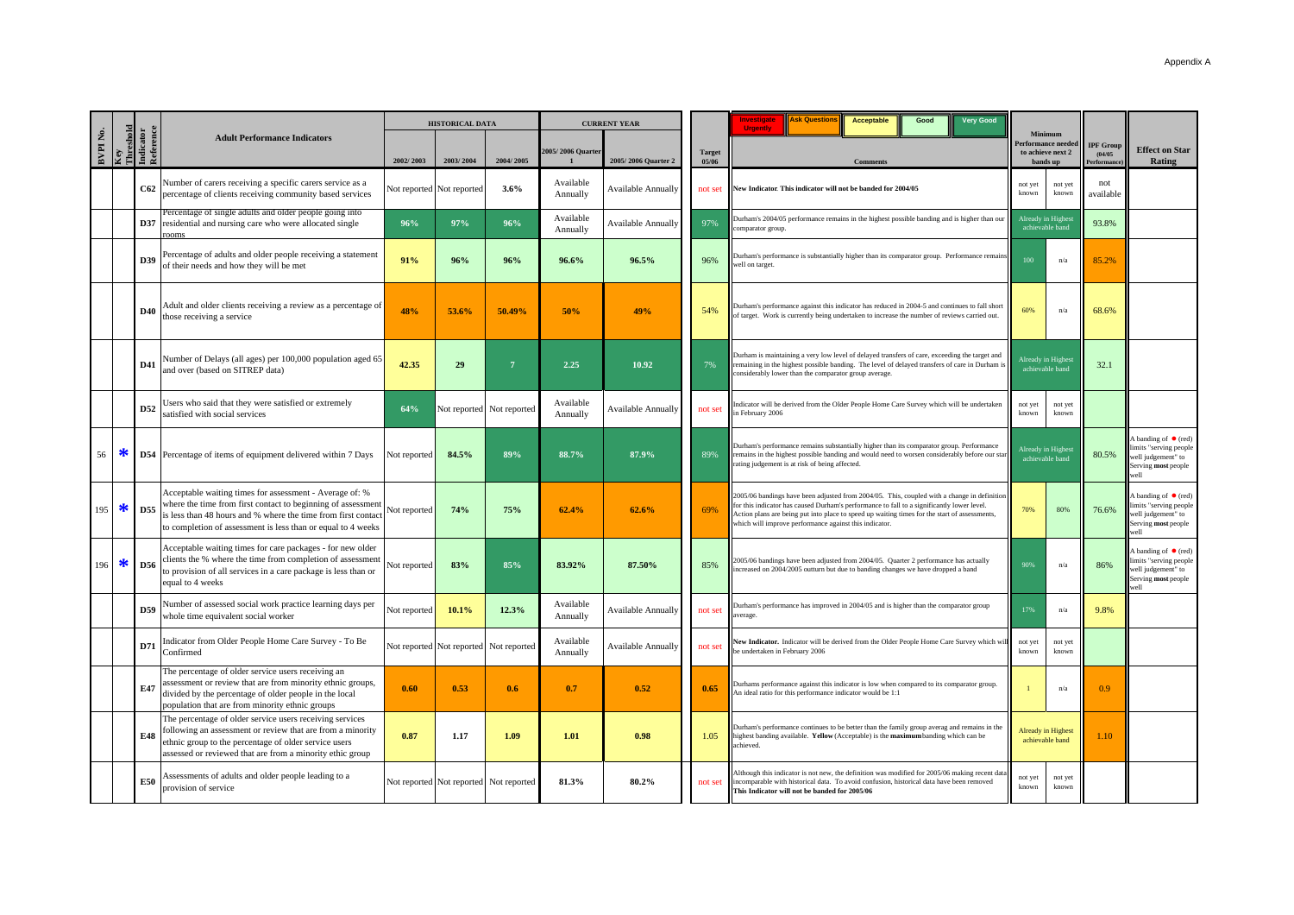|          |                  |                        |                                                                                                                                                                                                                                                         |              | <b>HISTORICAL DATA</b>                 |              | <b>CURRENT YEAR</b>   |                           |                        | <b>Very Good</b><br><b>Ask Question</b><br><b>Investigat</b><br><b>Acceptable</b><br>Good<br><b>Urgently</b>                                                                                                                                                                                                                                        |                  | Minimum                                                   |                                           |                                                                                                             |
|----------|------------------|------------------------|---------------------------------------------------------------------------------------------------------------------------------------------------------------------------------------------------------------------------------------------------------|--------------|----------------------------------------|--------------|-----------------------|---------------------------|------------------------|-----------------------------------------------------------------------------------------------------------------------------------------------------------------------------------------------------------------------------------------------------------------------------------------------------------------------------------------------------|------------------|-----------------------------------------------------------|-------------------------------------------|-------------------------------------------------------------------------------------------------------------|
| BVPI No. | Key<br>Threshold | Indicator<br>Reference | <b>Adult Performance Indicators</b>                                                                                                                                                                                                                     | 2002/2003    | 2003/2004                              | 2004/2005    | 2005/2006 Quarter     | 2005/2006 Quarter 2       | <b>Target</b><br>05/06 | <b>Comments</b>                                                                                                                                                                                                                                                                                                                                     |                  | <b>Performance neede</b><br>to achieve next 2<br>bands up | <b>IPF Group</b><br>(04/05)<br>erformancı | <b>Effect on Star</b><br>Rating                                                                             |
|          |                  | C62                    | Number of carers receiving a specific carers service as a<br>percentage of clients receiving community based services                                                                                                                                   |              | Not reported Not reported              | 3.6%         | Available<br>Annually | <b>Available Annually</b> | not set                | lew Indicator. This indicator will not be banded for 2004/05                                                                                                                                                                                                                                                                                        | not yet<br>known | not yet<br>known                                          | not<br>available                          |                                                                                                             |
|          |                  |                        | Percentage of single adults and older people going into<br><b>D37</b> residential and nursing care who were allocated single<br>rooms                                                                                                                   | 96%          | 97%                                    | 96%          | Available<br>Annually | <b>Available Annually</b> | 97%                    | Durham's 2004/05 performance remains in the highest possible banding and is higher than our<br>comparator group.                                                                                                                                                                                                                                    |                  | Already in Highest<br>achievable band                     | 93.8%                                     |                                                                                                             |
|          |                  | D39                    | Percentage of adults and older people receiving a statement<br>of their needs and how they will be met                                                                                                                                                  | 91%          | 96%                                    | 96%          | 96.6%                 | 96.5%                     | 96%                    | Durham's performance is substantially higher than its comparator group. Performance remains<br>well on target.                                                                                                                                                                                                                                      | 100              | n/a                                                       | 85.2%                                     |                                                                                                             |
|          |                  | D40                    | Adult and older clients receiving a review as a percentage of<br>those receiving a service                                                                                                                                                              | 48%          | 53.6%                                  | 50.49%       | 50%                   | 49%                       | 54%                    | Durham's performance against this indicator has reduced in 2004-5 and continues to fall short<br>of target. Work is currently being undertaken to increase the number of reviews carried out.                                                                                                                                                       | 60%              | n/a                                                       | 68.6%                                     |                                                                                                             |
|          |                  | D41                    | Number of Delays (all ages) per 100,000 population aged 65<br>and over (based on SITREP data)                                                                                                                                                           | 42.35        | 29                                     | $7^{\circ}$  | 2.25                  | 10.92                     | 7%                     | Durham is maintaining a very low level of delayed transfers of care, exceeding the target and<br>remaining in the highest possible banding. The level of delayed transfers of care in Durham i<br>considerably lower than the comparator group average.                                                                                             |                  | Already in Highest<br>achievable band                     | 32.1                                      |                                                                                                             |
|          |                  | D52                    | Jsers who said that they were satisfied or extremely<br>satisfied with social services                                                                                                                                                                  | 64%          | Not reported                           | Not reported | Available<br>Annually | <b>Available Annually</b> | not set                | ndicator will be derived from the Older People Home Care Survey which will be undertaken<br>n February 2006                                                                                                                                                                                                                                         | not yet<br>known | not yet<br>known                                          |                                           |                                                                                                             |
| 56       | ∗                |                        | <b>D54</b> Percentage of items of equipment delivered within 7 Days                                                                                                                                                                                     | Not reported | 84.5%                                  | 89%          | 88.7%                 | 87.9%                     | 89%                    | Durham's performance remains substantially higher than its comparator group. Performance<br>remains in the highest possible banding and would need to worsen considerably before our star<br>rating judgement is at risk of being affected.                                                                                                         |                  | Already in Highest<br>achievable band                     | 80.5%                                     | A banding of $\bullet$ (red)<br>iimits "serving people<br>well judgement" to<br>Serving most people<br>vell |
| 195      | ∗                | D55                    | Acceptable waiting times for assessment - Average of: %<br>where the time from first contact to beginning of assessment<br>s less than 48 hours and % where the time from first contact<br>to completion of assessment is less than or equal to 4 weeks | Not reported | 74%                                    | 75%          | 62.4%                 | 62.6%                     | 69%                    | 2005/06 bandings have been adjusted from 2004/05. This, coupled with a change in definition<br>or this indicator has caused Durham's performance to fall to a significantly lower level.<br>Action plans are being put into place to speed up waiting times for the start of assessments,<br>which will improve performance against this indicator. | 70%              | 80%                                                       | 76.6%                                     | A banding of $\bullet$ (red)<br>mits "serving people<br>well judgement" to<br>Serving most people<br>vell   |
| 196      | ∗                | D56                    | Acceptable waiting times for care packages - for new older<br>clients the % where the time from completion of assessment<br>to provision of all services in a care package is less than or<br>equal to 4 weeks                                          | Not reported | 83%                                    | 85%          | 83.92%                | 87.50%                    | 85%                    | 2005/06 bandings have been adjusted from 2004/05. Quarter 2 performance has actually<br>acreased on 2004/2005 outturn but due to banding changes we have dropped a band                                                                                                                                                                             | 90%              | n/a                                                       | 86%                                       | A banding of $\bullet$ (red)<br>imits "serving people<br>well judgement" to<br>Serving most people<br>vell  |
|          |                  | D59                    | Number of assessed social work practice learning days per<br>whole time equivalent social worker                                                                                                                                                        | Not reported | 10.1%                                  | 12.3%        | Available<br>Annually | Available Annually        | not set                | Durham's performance has improved in 2004/05 and is higher than the comparator group<br>verage                                                                                                                                                                                                                                                      | 17%              | n/a                                                       | 9.8%                                      |                                                                                                             |
|          |                  | D71                    | ndicator from Older People Home Care Survey - To Be<br>Confirmed                                                                                                                                                                                        |              | Not reported Not reported              | Not reported | Available<br>Annually | <b>Available Annually</b> | not set                | New Indicator. Indicator will be derived from the Older People Home Care Survey which wil<br>e undertaken in February 2006                                                                                                                                                                                                                          | not yet<br>known | not yet<br>known                                          |                                           |                                                                                                             |
|          |                  | E47                    | The percentage of older service users receiving an<br>assessment or review that are from minority ethnic groups,<br>divided by the percentage of older people in the local<br>population that are from minority ethnic groups                           | 0.60         | 0.53                                   | 0.6          | 0.7                   | 0.52                      | 0.65                   | Durhams performance against this indicator is low when compared to its comparator group<br>An ideal ratio for this performance indicator would be 1:1                                                                                                                                                                                               |                  | n/a                                                       | 0.9                                       |                                                                                                             |
|          |                  | E48                    | The percentage of older service users receiving services<br>ollowing an assessment or review that are from a minority<br>ethnic group to the percentage of older service users<br>assessed or reviewed that are from a minority ethic group             | 0.87         | 1.17                                   | 1.09         | 1.01                  | 0.98                      | 1.05                   | Durham's performance continues to be better than the family group averag and remains in the<br>highest banding available. Yellow (Acceptable) is the maximum banding which can be<br>achieved.                                                                                                                                                      |                  | <b>Already in Highest</b><br>achievable band              | 1.10                                      |                                                                                                             |
|          |                  | E50                    | Assessments of adults and older people leading to a<br>provision of service                                                                                                                                                                             |              | Not reported Not reported Not reported |              | 81.3%                 | 80.2%                     | not set                | Although this indicator is not new, the definition was modified for 2005/06 making recent dat<br>ncomparable with historical data. To avoid confusion, historical data have been removed<br>This Indicator will not be banded for 2005/06                                                                                                           | not yet<br>known | not yet<br>known                                          |                                           |                                                                                                             |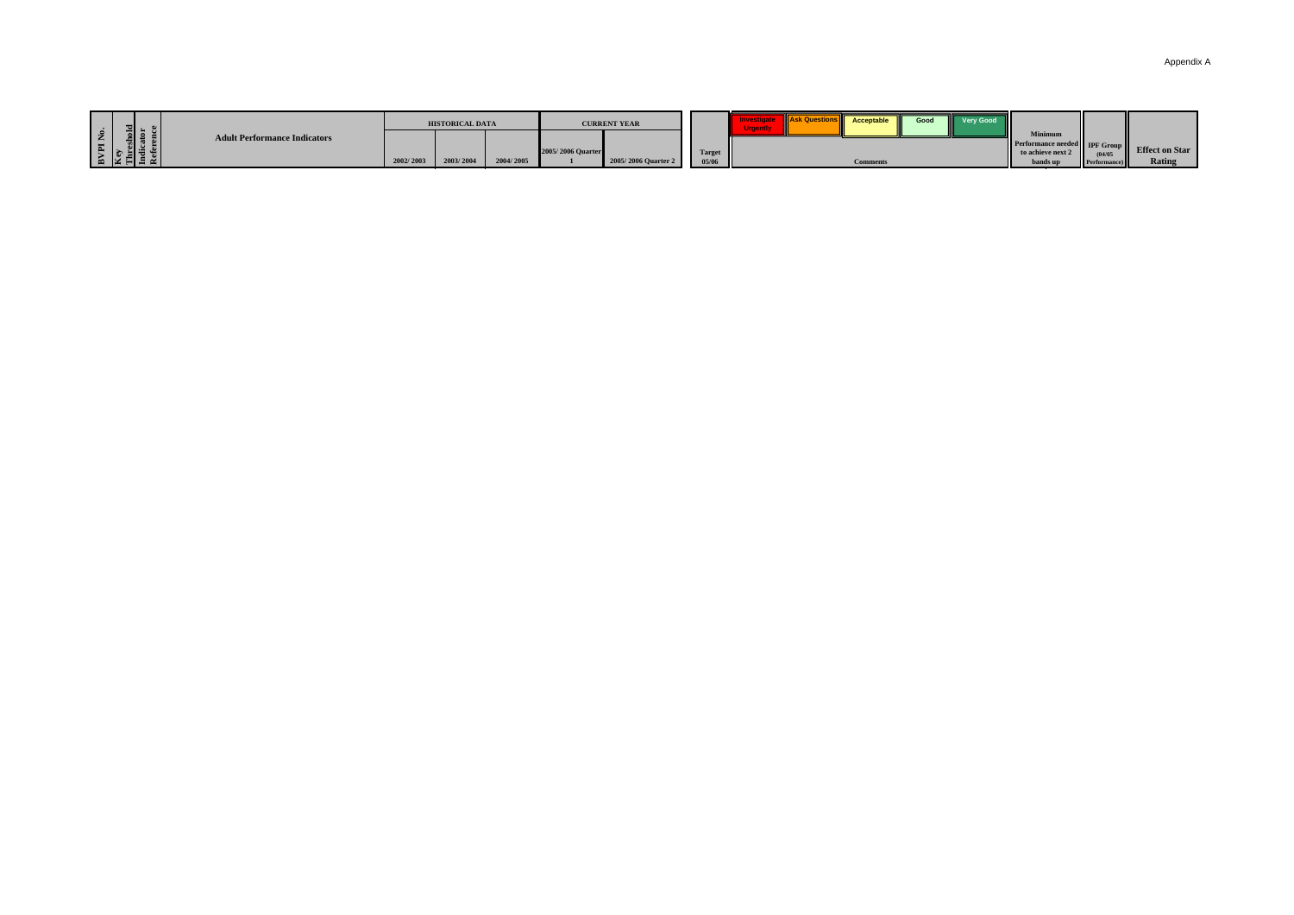| Appendix A |  |  |
|------------|--|--|
|------------|--|--|

|                                                                                               | <b>HISTORICAL DATA</b>             | <b>CURRENT YEAR</b>                      |                        | <b>WILASK Quest.</b><br>Good<br>Very Good<br>Acceptable |                                                                                                                                                 |               |
|-----------------------------------------------------------------------------------------------|------------------------------------|------------------------------------------|------------------------|---------------------------------------------------------|-------------------------------------------------------------------------------------------------------------------------------------------------|---------------|
| shold<br>ator<br>1 Z<br><b>Adult Performance Indicators</b><br>E<br>$\mathbb{E}$ $\mathbb{E}$ | 2004/2005<br>2003/200<br>2002/2003 | 2005/2006 Quarter<br>2005/2006 Quarter 2 | <b>Target</b><br>05/06 | <b>Comments</b>                                         | <b>Minimun</b><br><b>Effect on Market Performance needed</b> IPF Group Effect on Mar<br>to achieve next 2<br>(04/0)<br>bands ur<br>Performance) | <b>Rating</b> |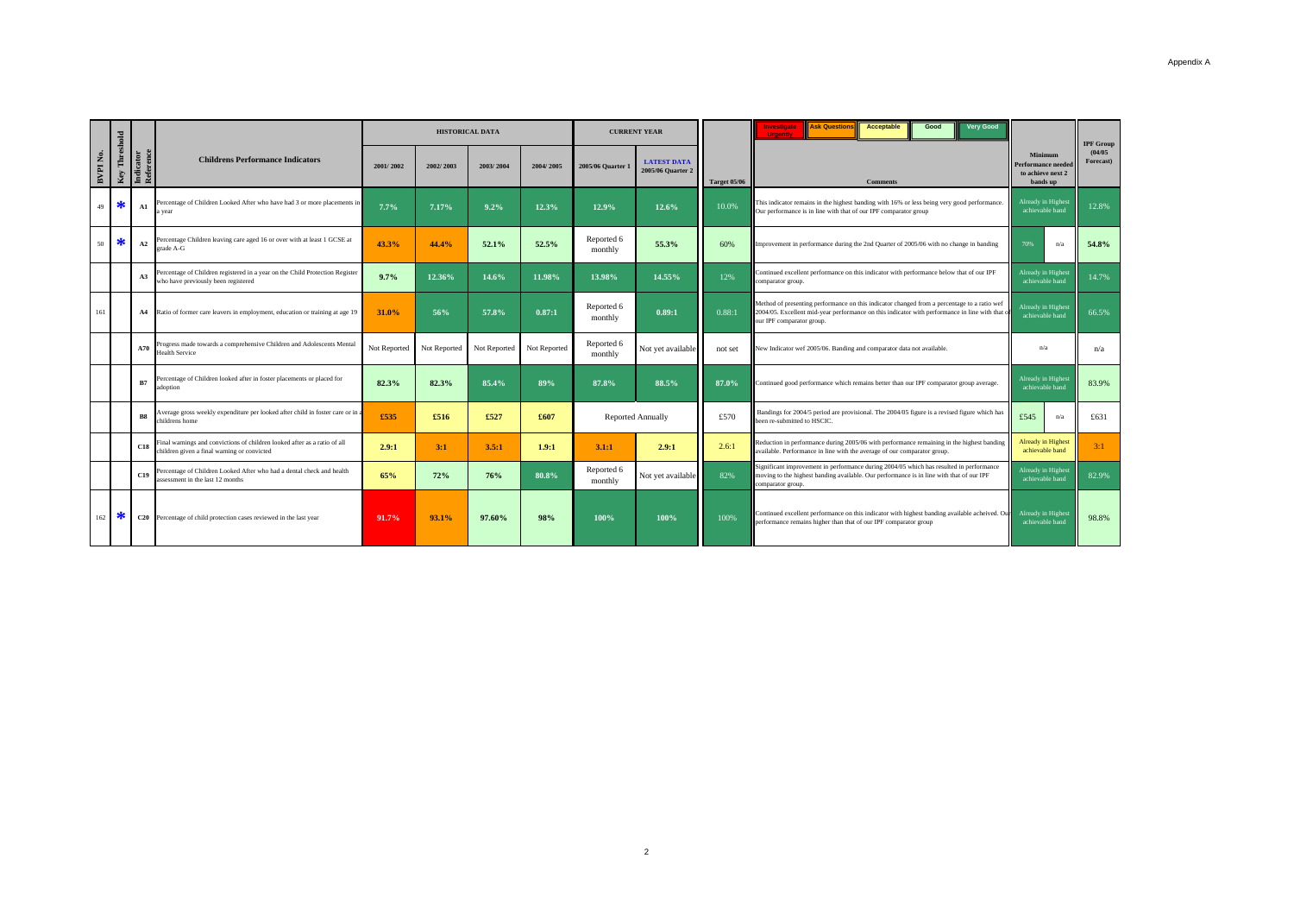|         |               |                        |                                                                                                                         |              |              | <b>HISTORICAL DATA</b> |              |                       | <b>CURRENT YEAR</b>                     | <b>Ask Question</b><br>nvestigati<br><b>Acceptable</b><br>Good<br><b>Hrnont</b> |                                                                                                                                                                                                                            |                                                               | <b>IPF Group</b>     |
|---------|---------------|------------------------|-------------------------------------------------------------------------------------------------------------------------|--------------|--------------|------------------------|--------------|-----------------------|-----------------------------------------|---------------------------------------------------------------------------------|----------------------------------------------------------------------------------------------------------------------------------------------------------------------------------------------------------------------------|---------------------------------------------------------------|----------------------|
| BVPINo. | Key Threshold | Indicator<br>Reference | <b>Childrens Performance Indicators</b>                                                                                 | 2001/2002    | 2002/2003    | 2003/2004              | 2004/2005    | 2005/06 Ouarter 1     | <b>LATEST DATA</b><br>2005/06 Quarter 2 | Target 05/06                                                                    | <b>Comments</b>                                                                                                                                                                                                            | Minimum<br>Performance neede<br>to achieve next 2<br>bands up | (04/05)<br>Forecast) |
| 49      | ∗             | A1                     | ercentage of Children Looked After who have had 3 or more placements in<br>a year                                       | 7.7%         | 7.17%        | 9.2%                   | 12.3%        | 12.9%                 | 12.6%                                   | 10.0%                                                                           | This indicator remains in the highest banding with 16% or less being very good performance.<br>Our performance is in line with that of our IPF comparator group                                                            | Already in Highest<br>achievable band                         | 12.8%                |
| 50      | ∗             | A2                     | Percentage Children leaving care aged 16 or over with at least 1 GCSE at<br>grade A-G                                   | 43.3%        | 44.4%        | 52.1%                  | 52.5%        | Reported 6<br>monthly | 55.3%                                   | 60%                                                                             | Improvement in performance during the 2nd Quarter of 2005/06 with no change in banding                                                                                                                                     | n/a                                                           | 54.8%                |
|         |               | A3                     | Percentage of Children registered in a year on the Child Protection Register<br>who have previously been registered     | 9.7%         | 12.36%       | 14.6%                  | 11.98%       | 13.98%                | 14.55%                                  | 12%                                                                             | Continued excellent performance on this indicator with performance below that of our IPF<br>comparator group.                                                                                                              | Already in Highest<br>achievable band                         | 14.7%                |
| 161     |               | A4                     | Ratio of former care leavers in employment, education or training at age 19                                             | 31.0%        | 56%          | 57.8%                  | 0.87:1       | Reported 6<br>monthly | 0.89:1                                  | 0.88:1                                                                          | Method of presenting performance on this indicator changed from a percentage to a ratio wef<br>2004/05. Excellent mid-year performance on this indicator with performance in line with that o<br>our IPF comparator group. | <b>Already</b> in Highest<br>achievable band                  | 66.5%                |
|         |               | A70                    | Progress made towards a comprehensive Children and Adolescents Mental<br>Health Service                                 | Not Reported | Not Reported | Not Reported           | Not Reported | Reported 6<br>monthly | Not yet available                       | not set                                                                         | New Indicator wef 2005/06. Banding and comparator data not available.                                                                                                                                                      | n/a                                                           | n/a                  |
|         |               | R7                     | Percentage of Children looked after in foster placements or placed for<br>adoption                                      | 82.3%        | 82.3%        | 85.4%                  | 89%          | 87.8%                 | 88.5%                                   | 87.0%                                                                           | Continued good performance which remains better than our IPF comparator group average.                                                                                                                                     | Already in Highest<br>achievable band                         | 83.9%                |
|         |               | R <sub>8</sub>         | Average gross weekly expenditure per looked after child in foster care or in a<br>childrens home                        | £535         | £516         | £527                   | £607         |                       | <b>Reported Annually</b>                | £570                                                                            | Bandings for 2004/5 period are provisional. The 2004/05 figure is a revised figure which has<br>been re-submitted to HSCIC.                                                                                                | £545<br>n/a                                                   | £631                 |
|         |               | C18                    | Final warnings and convictions of children looked after as a ratio of all<br>hildren given a final warning or convicted | 2.9:1        | 3:1          | 3.5:1                  | 1.9:1        | 3.1:1                 | 2.9:1                                   | 2.6:1                                                                           | Reduction in performance during 2005/06 with performance remaining in the highest banding<br>available. Performance in line with the average of our comparator group.                                                      | <b>Already in Highest</b><br>achievable band                  | 3:1                  |
|         |               | C19                    | Percentage of Children Looked After who had a dental check and health<br>assessment in the last 12 months               | 65%          | 72%          | 76%                    | 80.8%        | Reported 6<br>monthly | Not yet available                       | 82%                                                                             | Significant improvement in performance during 2004/05 which has resulted in performance<br>moving to the highest banding available. Our performance is in line with that of our IPF<br>comparator group.                   | Already in Highest<br>achievable band                         | 82.9%                |
| 162     | *             | C20                    | Percentage of child protection cases reviewed in the last year                                                          | 91.7%        | 93.1%        | 97.60%                 | 98%          | 100%                  | 100%                                    | 100%                                                                            | Continued excellent performance on this indicator with highest banding available acheived. Our<br>performance remains higher than that of our IPF comparator group                                                         | Already in Highest<br>achievable band                         | 98.8%                |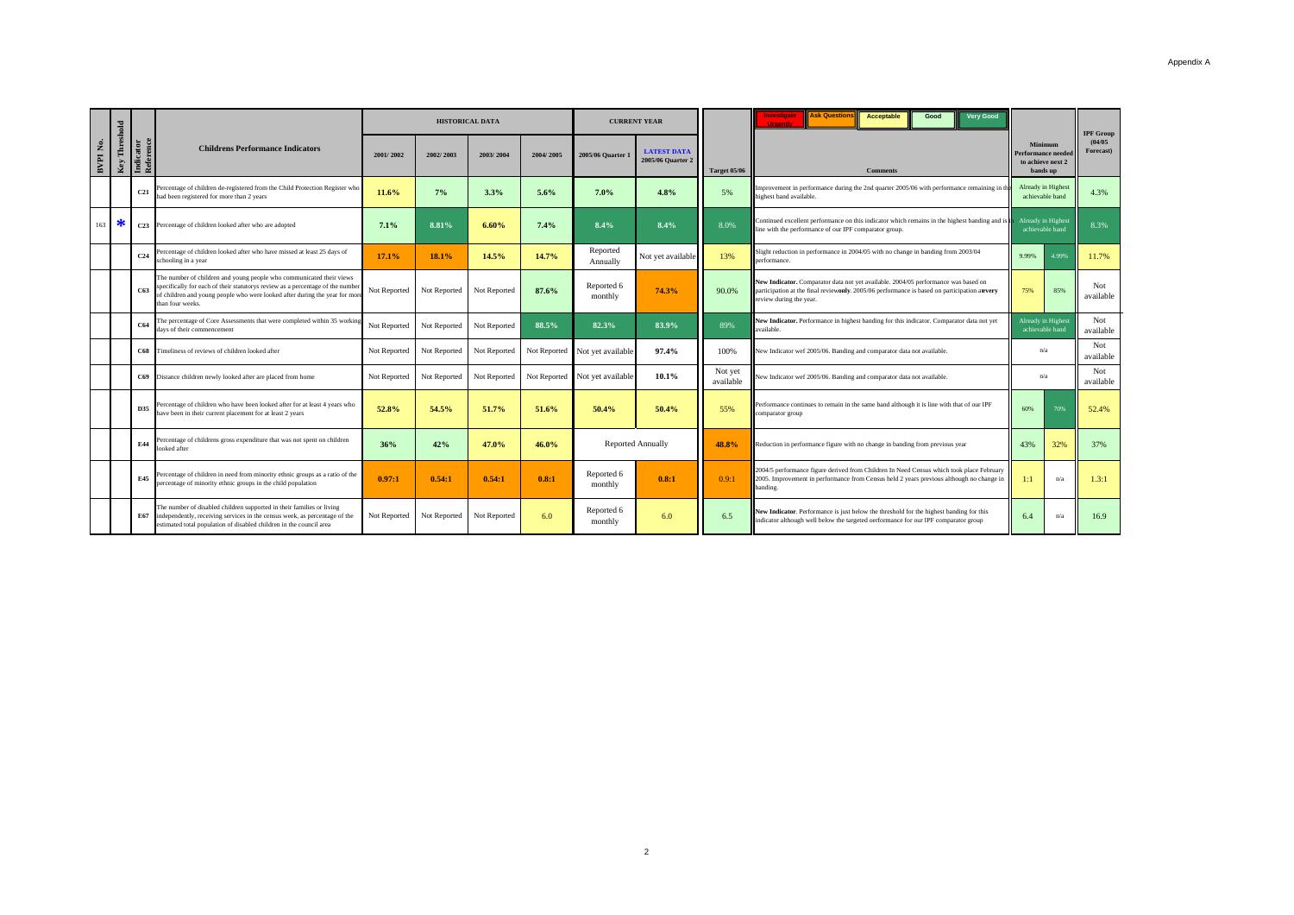|          |                  |                        |                                                                                                                                                                                                                                                           |              |              | <b>HISTORICAL DATA</b> |           |                                | <b>CURRENT YEAR</b>                     |                      | <b>Ask Question</b><br><b>Very Good</b><br><b>Acceptable</b><br>Good<br>Investigate<br>Hraenti                                                                                                                | Minimum<br>Performance neede<br>to achieve next 2<br>hands un |                                              |                                          |
|----------|------------------|------------------------|-----------------------------------------------------------------------------------------------------------------------------------------------------------------------------------------------------------------------------------------------------------|--------------|--------------|------------------------|-----------|--------------------------------|-----------------------------------------|----------------------|---------------------------------------------------------------------------------------------------------------------------------------------------------------------------------------------------------------|---------------------------------------------------------------|----------------------------------------------|------------------------------------------|
| BVPI No. | Threshold<br>Key | Indicator<br>Reference | <b>Childrens Performance Indicators</b>                                                                                                                                                                                                                   | 2001/2002    | 2002/2003    | 2003/2004              | 2004/2005 | 2005/06 Quarter 1              | <b>LATEST DATA</b><br>2005/06 Ouarter 2 | <b>Target 05/06</b>  | <b>Comments</b>                                                                                                                                                                                               |                                                               |                                              | <b>IPF Group</b><br>(04/05)<br>Forecast) |
|          |                  | C <sub>21</sub>        | Percentage of children de-registered from the Child Protection Register who<br>had been registered for more than 2 years                                                                                                                                  | 11.6%        | 7%           | 3.3%                   | 5.6%      | 7.0%                           | 4.8%                                    | 5%                   | Improvement in performance during the 2nd quarter 2005/06 with performance remaining in t<br>highest band available.                                                                                          |                                                               | <b>Already</b> in Highest<br>achievable band | 4.3%                                     |
| 163      | ਨ                | C <sub>23</sub>        | Percentage of children looked after who are adopted                                                                                                                                                                                                       | 7.1%         | 8.81%        | 6.60%                  | 7.4%      | 8.4%                           | 8.4%                                    | 8.0%                 | Continued excellent performance on this indicator which remains in the highest banding and is<br>line with the performance of our IPF comparator group.                                                       |                                                               | <b>Already</b> in Highest<br>achievable band | 8.3%                                     |
|          |                  | C <sub>24</sub>        | Percentage of children looked after who have missed at least 25 days of<br>schooling in a year                                                                                                                                                            | 17.1%        | 18.1%        | 14.5%                  | 14.7%     | Reported<br>Annually           | Not yet available                       | 13%                  | Slight reduction in performance in 2004/05 with no change in banding from 2003/04<br>performance.                                                                                                             |                                                               | 4.99%                                        | 11.7%                                    |
|          |                  | C63                    | The number of children and young people who communicated their views<br>specifically for each of their statutorys review as a percentage of the number<br>of children and young people who were looked after during the year for more<br>than four weeks. | Not Reported | Not Reported | Not Reported           | 87.6%     | Reported 6<br>monthly          | 74.3%                                   | 90.0%                | New Indicator. Comparator data not yet available. 2004/05 performance was based on<br>participation at the final reviewonly. 2005/06 performance is based on participation atevery<br>review during the year. | 75%                                                           | 85%                                          | Not<br>available                         |
|          |                  | C64                    | The percentage of Core Assessments that were completed within 35 working<br>days of their commencement                                                                                                                                                    | Not Reported | Not Reported | Not Reported           | 88.5%     | 82.3%                          | 83.9%                                   | 89%                  | New Indicator. Performance in highest banding for this indicator. Comparator data not yet<br>available.                                                                                                       | Already in Highest<br>achievable band                         |                                              | Not<br>available                         |
|          |                  |                        | C68 Timeliness of reviews of children looked after                                                                                                                                                                                                        | Not Reported | Not Reported | Not Reported           |           | Not Reported Not yet available | 97.4%                                   | 100%                 | New Indicator wef 2005/06. Banding and comparator data not available.                                                                                                                                         | n/a                                                           |                                              | Not<br>available                         |
|          |                  |                        | C69 Distance children newly looked after are placed from home                                                                                                                                                                                             | Not Reported | Not Reported | Not Reported           |           | Not Reported Not yet available | 10.1%                                   | Not yet<br>available | New Indicator wef 2005/06. Banding and comparator data not available.                                                                                                                                         | n/a                                                           |                                              | Not<br>available                         |
|          |                  | D35                    | Percentage of children who have been looked after for at least 4 years who<br>have been in their current placement for at least 2 years                                                                                                                   | 52.8%        | 54.5%        | 51.7%                  | 51.6%     | 50.4%                          | 50.4%                                   | 55%                  | Performance continues to remain in the same band although it is line with that of our IPF<br>comparator group                                                                                                 |                                                               | 70%                                          | 52.4%                                    |
|          |                  | E44                    | Percentage of childrens gross expenditure that was not spent on children<br>ooked after                                                                                                                                                                   | 36%          | 42%          | 47.0%                  | 46.0%     |                                | <b>Reported Annually</b>                | 48.8%                | Reduction in performance figure with no change in banding from previous year                                                                                                                                  | 43%                                                           | 32%                                          | 37%                                      |
|          |                  | <b>E45</b>             | Percentage of children in need from minority ethnic groups as a ratio of the<br>percentage of minority ethnic groups in the child population                                                                                                              | 0.97:1       | 0.54:1       | 0.54:1                 | 0.8:1     | Reported 6<br>monthly          | 0.8:1                                   | 0.9:1                | 2004/5 performance figure derived from Children In Need Census which took place February<br>2005. Improvement in performance from Census held 2 years previous although no change in<br>banding.              |                                                               | n/a                                          | 1.3:1                                    |
|          |                  | E67                    | The number of disabled children supported in their families or living<br>independently, receiving services in the census week, as percentage of the<br>estimated total population of disabled children in the council area                                | Not Reported | Not Reported | Not Reported           | 6.0       | Reported 6<br>monthly          | 6.0                                     | 6.5                  | New Indicator. Performance is just below the threshold for the highest banding for this<br>indicator although well below the targeted oerformance for our IPF comparator group                                |                                                               | n/a                                          | 16.9                                     |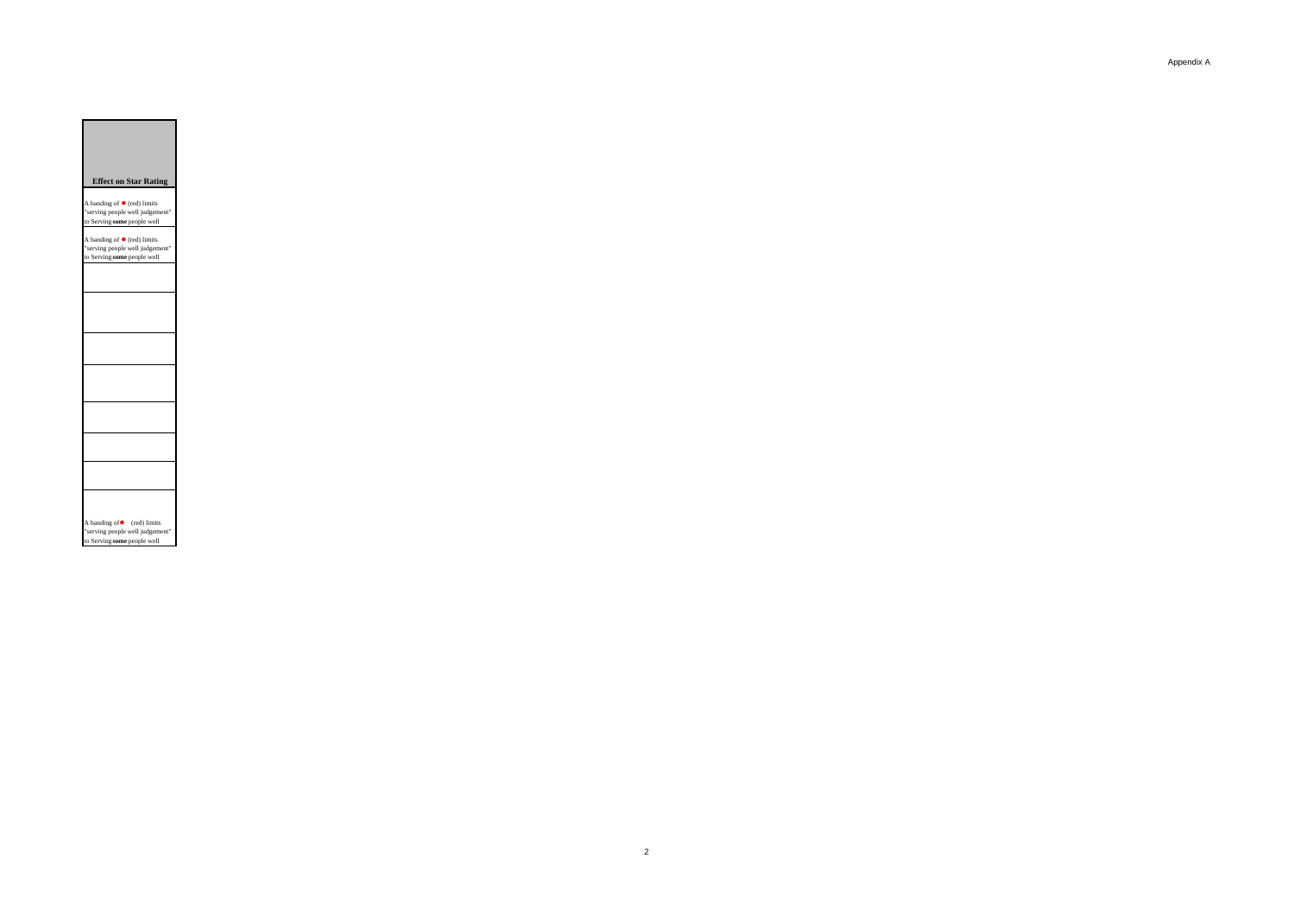## **Effect on Star Rating**

A banding of  $\bullet$  (red) limits<br>"serving people well judgement"<br>to Serving **some** people well

A banding of  $\bullet$  (red) limits<br>"serving people well judgement"<br>to Serving **some** people well

| A banding of • (red) limits<br>"serving people well judgement"<br>to Serving some people well |
|-----------------------------------------------------------------------------------------------|